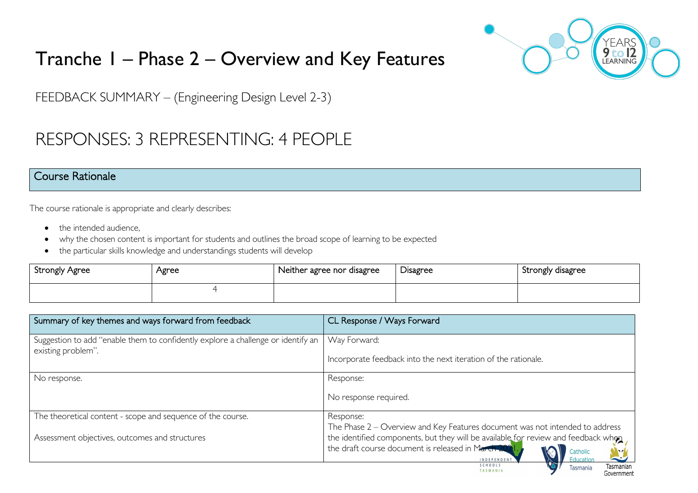

Government

# Tranche 1 – Phase 2 – Overview and Key Features

FEEDBACK SUMMARY – (Engineering Design Level 2-3)

## RESPONSES: 3 REPRESENTING: 4 PEOPLE

#### Course Rationale

The course rationale is appropriate and clearly describes:

- the intended audience.
- why the chosen content is important for students and outlines the broad scope of learning to be expected
- the particular skills knowledge and understandings students will develop

| Strongly Agree | Agree | Neither agree nor disagree | Disagree | Strongly disagree |
|----------------|-------|----------------------------|----------|-------------------|
|                |       |                            |          |                   |

| Summary of key themes and ways forward from feedback                                                   | CL Response / Ways Forward                                                                                                                                                                                                                                                     |
|--------------------------------------------------------------------------------------------------------|--------------------------------------------------------------------------------------------------------------------------------------------------------------------------------------------------------------------------------------------------------------------------------|
| Suggestion to add "enable them to confidently explore a challenge or identify an<br>existing problem". | Way Forward:                                                                                                                                                                                                                                                                   |
|                                                                                                        | Incorporate feedback into the next iteration of the rationale.                                                                                                                                                                                                                 |
| No response.                                                                                           | Response:                                                                                                                                                                                                                                                                      |
|                                                                                                        | No response required.                                                                                                                                                                                                                                                          |
| The theoretical content - scope and sequence of the course.                                            | Response:                                                                                                                                                                                                                                                                      |
| Assessment objectives, outcomes and structures                                                         | The Phase 2 – Overview and Key Features document was not intended to address<br>the identified components, but they will be available for review and feedback whon<br>the draft course document is released in March 202<br>Catholic<br><b>Education</b><br><b>INDEPENDENT</b> |
|                                                                                                        | SCHOOLS<br>Tasmanian<br>Tasmania<br><b>TASMANIA</b>                                                                                                                                                                                                                            |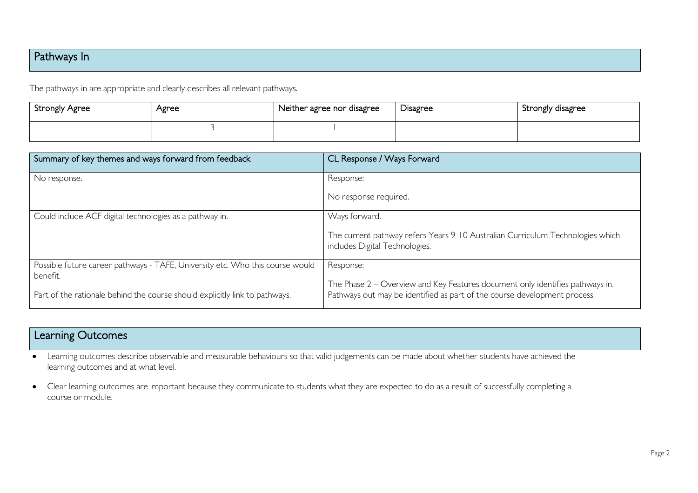## Pathways In

The pathways in are appropriate and clearly describes all relevant pathways.

| <b>Strongly Agree</b> | Agree | Neither agree nor disagree | <b>Disagree</b> | Strongly disagree |
|-----------------------|-------|----------------------------|-----------------|-------------------|
|                       |       |                            |                 |                   |

| Summary of key themes and ways forward from feedback                                    | CL Response / Ways Forward                                                                                                                                 |
|-----------------------------------------------------------------------------------------|------------------------------------------------------------------------------------------------------------------------------------------------------------|
| No response.                                                                            | Response:                                                                                                                                                  |
|                                                                                         | No response required.                                                                                                                                      |
| Could include ACF digital technologies as a pathway in.                                 | Ways forward.                                                                                                                                              |
|                                                                                         | The current pathway refers Years 9-10 Australian Curriculum Technologies which<br>includes Digital Technologies.                                           |
| Possible future career pathways - TAFE, University etc. Who this course would           | Response:                                                                                                                                                  |
| benefit.<br>Part of the rationale behind the course should explicitly link to pathways. | The Phase 2 – Overview and Key Features document only identifies pathways in.<br>Pathways out may be identified as part of the course development process. |

## Learning Outcomes

- Learning outcomes describe observable and measurable behaviours so that valid judgements can be made about whether students have achieved the learning outcomes and at what level.
- Clear learning outcomes are important because they communicate to students what they are expected to do as a result of successfully completing a course or module.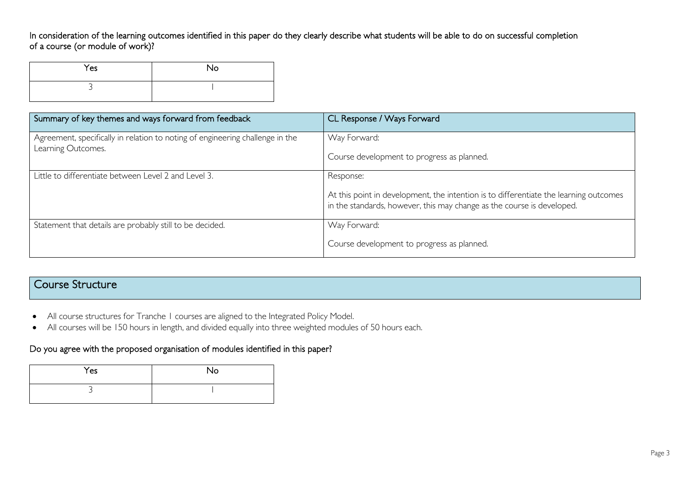In consideration of the learning outcomes identified in this paper do they clearly describe what students will be able to do on successful completion of a course (or module of work)?

| Yes | No |
|-----|----|
| ی   |    |

| Summary of key themes and ways forward from feedback                                                | CL Response / Ways Forward                                                                                                                                      |
|-----------------------------------------------------------------------------------------------------|-----------------------------------------------------------------------------------------------------------------------------------------------------------------|
| Agreement, specifically in relation to noting of engineering challenge in the<br>Learning Outcomes. | Way Forward:                                                                                                                                                    |
|                                                                                                     | Course development to progress as planned.                                                                                                                      |
| Little to differentiate between Level 2 and Level 3.                                                | Response:                                                                                                                                                       |
|                                                                                                     | At this point in development, the intention is to differentiate the learning outcomes<br>in the standards, however, this may change as the course is developed. |
| Statement that details are probably still to be decided.                                            | Way Forward:                                                                                                                                                    |
|                                                                                                     | Course development to progress as planned.                                                                                                                      |

### Course Structure

- All course structures for Tranche 1 courses are aligned to the Integrated Policy Model.
- All courses will be 150 hours in length, and divided equally into three weighted modules of 50 hours each.

#### Do you agree with the proposed organisation of modules identified in this paper?

| Yes | <b>No</b> |
|-----|-----------|
|     |           |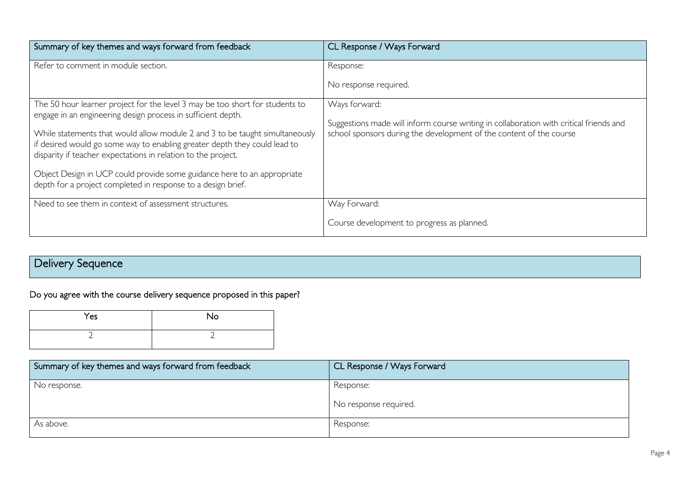| Summary of key themes and ways forward from feedback                                                                                                                                                                                                                                                                                                                                                                                                                                                                  | CL Response / Ways Forward                                                                                                                                                     |
|-----------------------------------------------------------------------------------------------------------------------------------------------------------------------------------------------------------------------------------------------------------------------------------------------------------------------------------------------------------------------------------------------------------------------------------------------------------------------------------------------------------------------|--------------------------------------------------------------------------------------------------------------------------------------------------------------------------------|
| Refer to comment in module section.                                                                                                                                                                                                                                                                                                                                                                                                                                                                                   | Response:<br>No response required.                                                                                                                                             |
| The 50 hour learner project for the level 3 may be too short for students to<br>engage in an engineering design process in sufficient depth.<br>While statements that would allow module 2 and 3 to be taught simultaneously<br>if desired would go some way to enabling greater depth they could lead to<br>disparity if teacher expectations in relation to the project.<br>Object Design in UCP could provide some guidance here to an appropriate<br>depth for a project completed in response to a design brief. | Ways forward:<br>Suggestions made will inform course writing in collaboration with critical friends and<br>school sponsors during the development of the content of the course |
| Need to see them in context of assessment structures.                                                                                                                                                                                                                                                                                                                                                                                                                                                                 | Way Forward:<br>Course development to progress as planned.                                                                                                                     |

## Delivery Sequence

Do you agree with the course delivery sequence proposed in this paper?

| Yes | No |
|-----|----|
|     |    |

| Summary of key themes and ways forward from feedback | CL Response / Ways Forward         |
|------------------------------------------------------|------------------------------------|
| No response.                                         | Response:<br>No response required. |
| As above.                                            | Response:                          |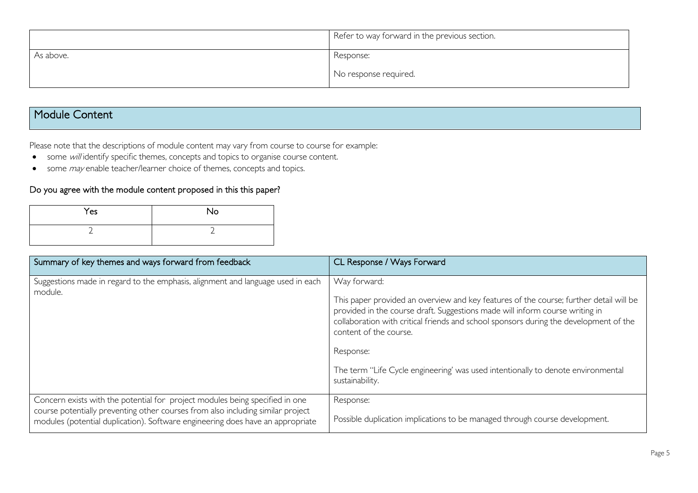|           | Refer to way forward in the previous section. |
|-----------|-----------------------------------------------|
| As above. | Response:                                     |
|           | No response required.                         |

### Module Content

Please note that the descriptions of module content may vary from course to course for example:

- some will identify specific themes, concepts and topics to organise course content.
- some *may* enable teacher/learner choice of themes, concepts and topics.

#### Do you agree with the module content proposed in this this paper?

| Yes | No |
|-----|----|
|     |    |

| Summary of key themes and ways forward from feedback                                                                                                                                                                                              | CL Response / Ways Forward                                                                                                                                                                                                                                                                                                                                                                                                    |
|---------------------------------------------------------------------------------------------------------------------------------------------------------------------------------------------------------------------------------------------------|-------------------------------------------------------------------------------------------------------------------------------------------------------------------------------------------------------------------------------------------------------------------------------------------------------------------------------------------------------------------------------------------------------------------------------|
| Suggestions made in regard to the emphasis, alignment and language used in each<br>module.                                                                                                                                                        | Way forward:<br>This paper provided an overview and key features of the course; further detail will be<br>provided in the course draft. Suggestions made will inform course writing in<br>collaboration with critical friends and school sponsors during the development of the<br>content of the course.<br>Response:<br>The term "Life Cycle engineering' was used intentionally to denote environmental<br>sustainability. |
| Concern exists with the potential for project modules being specified in one<br>course potentially preventing other courses from also including similar project<br>modules (potential duplication). Software engineering does have an appropriate | Response:<br>Possible duplication implications to be managed through course development.                                                                                                                                                                                                                                                                                                                                      |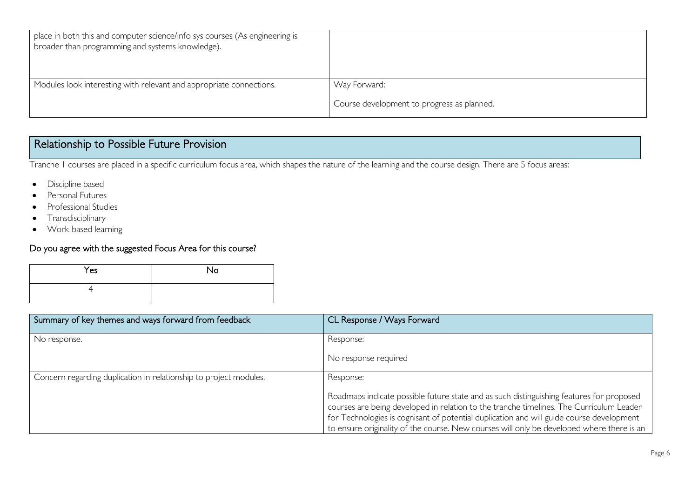| place in both this and computer science/info sys courses (As engineering is<br>broader than programming and systems knowledge). |                                            |
|---------------------------------------------------------------------------------------------------------------------------------|--------------------------------------------|
| Modules look interesting with relevant and appropriate connections.                                                             | Way Forward:                               |
|                                                                                                                                 | Course development to progress as planned. |

## Relationship to Possible Future Provision

Tranche 1 courses are placed in a specific curriculum focus area, which shapes the nature of the learning and the course design. There are 5 focus areas:

- Discipline based
- Personal Futures
- Professional Studies
- Transdisciplinary
- Work-based learning

#### Do you agree with the suggested Focus Area for this course?

| Yes | No |
|-----|----|
|     |    |

| Summary of key themes and ways forward from feedback              | CL Response / Ways Forward                                                                                                                                                                                                                                                                                                                                                   |
|-------------------------------------------------------------------|------------------------------------------------------------------------------------------------------------------------------------------------------------------------------------------------------------------------------------------------------------------------------------------------------------------------------------------------------------------------------|
| No response.                                                      | Response:                                                                                                                                                                                                                                                                                                                                                                    |
|                                                                   | No response required                                                                                                                                                                                                                                                                                                                                                         |
| Concern regarding duplication in relationship to project modules. | Response:                                                                                                                                                                                                                                                                                                                                                                    |
|                                                                   | Roadmaps indicate possible future state and as such distinguishing features for proposed<br>courses are being developed in relation to the tranche timelines. The Curriculum Leader<br>for Technologies is cognisant of potential duplication and will guide course development<br>to ensure originality of the course. New courses will only be developed where there is an |